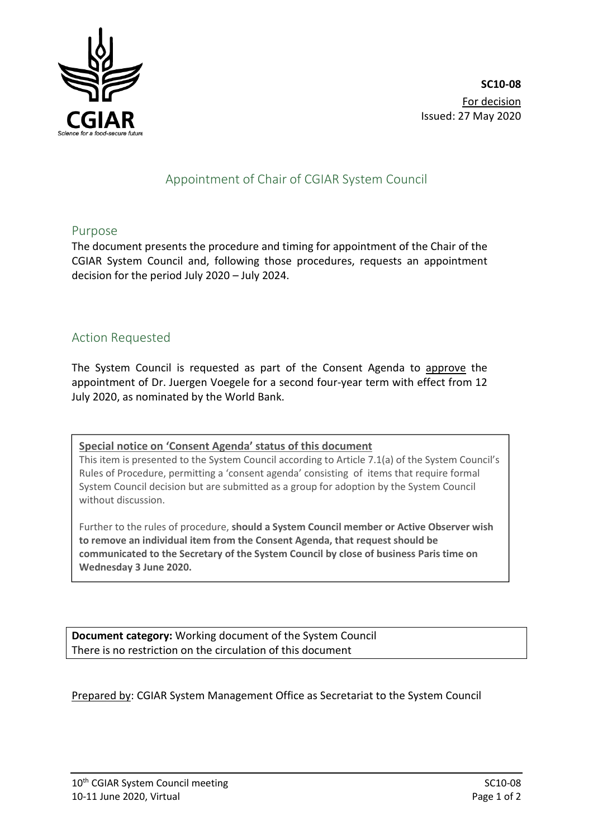

# Appointment of Chair of CGIAR System Council

#### Purpose

The document presents the procedure and timing for appointment of the Chair of the CGIAR System Council and, following those procedures, requests an appointment decision for the period July 2020 – July 2024.

### Action Requested

The System Council is requested as part of the Consent Agenda to approve the appointment of Dr. Juergen Voegele for a second four-year term with effect from 12 July 2020, as nominated by the World Bank.

**Special notice on 'Consent Agenda' status of this document**

This item is presented to the System Council according to Article 7.1(a) of the System Council's Rules of Procedure, permitting a 'consent agenda' consisting of items that require formal System Council decision but are submitted as a group for adoption by the System Council without discussion.

Further to the rules of procedure, **should a System Council member or Active Observer wish to remove an individual item from the Consent Agenda, that request should be communicated to the Secretary of the System Council by close of business Paris time on Wednesday 3 June 2020.**

**Document category:** Working document of the System Council There is no restriction on the circulation of this document

Prepared by: CGIAR System Management Office as Secretariat to the System Council